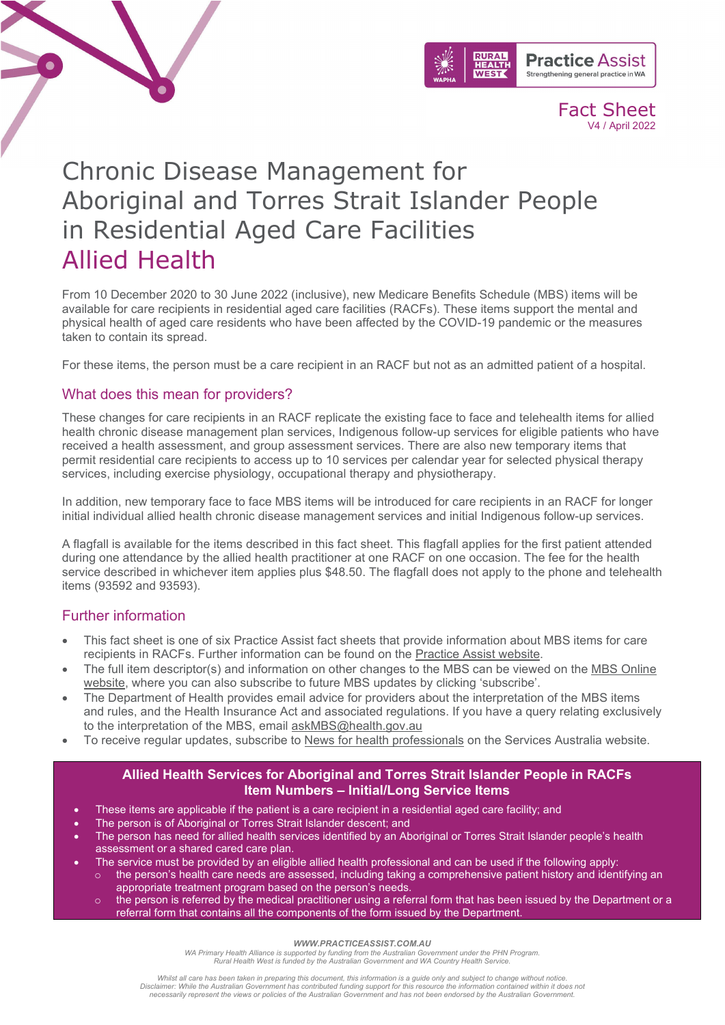



Fact Sheet V4 / April 2022

# Chronic Disease Management for Aboriginal and Torres Strait Islander People in Residential Aged Care Facilities Allied Health

From 10 December 2020 to 30 June 2022 (inclusive), new Medicare Benefits Schedule (MBS) items will be available for care recipients in residential aged care facilities (RACFs). These items support the mental and physical health of aged care residents who have been affected by the COVID-19 pandemic or the measures taken to contain its spread.

For these items, the person must be a care recipient in an RACF but not as an admitted patient of a hospital.

# What does this mean for providers?

These changes for care recipients in an RACF replicate the existing face to face and telehealth items for allied health chronic disease management plan services, Indigenous follow-up services for eligible patients who have received a health assessment, and group assessment services. There are also new temporary items that permit residential care recipients to access up to 10 services per calendar year for selected physical therapy services, including exercise physiology, occupational therapy and physiotherapy.

In addition, new temporary face to face MBS items will be introduced for care recipients in an RACF for longer initial individual allied health chronic disease management services and initial Indigenous follow-up services.

A flagfall is available for the items described in this fact sheet. This flagfall applies for the first patient attended during one attendance by the allied health practitioner at one RACF on one occasion. The fee for the health service described in whichever item applies plus \$48.50. The flagfall does not apply to the phone and telehealth items (93592 and 93593).

## Further information

- This fact sheet is one of six Practice Assist fact sheets that provide information about MBS items for care recipients in RACFs. Further information can be found on the [Practice Assist website.](https://www.practiceassist.com.au/)
- The full item descriptor(s) and information on other changes to the MBS can be viewed on the MBS [Online](http://www.mbsonline.gov.au/)  [website,](http://www.mbsonline.gov.au/) where you can also subscribe to future MBS updates by clicking 'subscribe'.
- The Department of Health provides email advice for providers about the interpretation of the MBS items and rules, and the Health Insurance Act and associated regulations. If you have a query relating exclusively to the interpretation of the MBS, email [askMBS@health.gov.au](mailto:askMBS@health.gov.au)
- To receive regular updates, subscribe to [News for health professionals](https://www.humanservices.gov.au/organisations/health-professionals/news/all) on the Services Australia website.

## **Allied Health Services for Aboriginal and Torres Strait Islander People in RACFs Item Numbers – Initial/Long Service Items**

- These items are applicable if the patient is a care recipient in a residential aged care facility; and
- The person is of Aboriginal or Torres Strait Islander descent; and
- The person has need for allied health services identified by an Aboriginal or Torres Strait Islander people's health assessment or a shared cared care plan.
- The service must be provided by an eligible allied health professional and can be used if the following apply:
	- $\circ$  the person's health care needs are assessed, including taking a comprehensive patient history and identifying an appropriate treatment program based on the person's needs.
		- the person is referred by the medical practitioner using a referral form that has been issued by the Department or a referral form that contains all the components of the form issued by the Department.

#### *WWW.PRACTICEASSIST.COM.AU*

WA Primary Health Alliance is supported by funding from the Australian Government under the PHN Program.<br>Rural Health West is funded by the Australian Government and WA Country Health Service.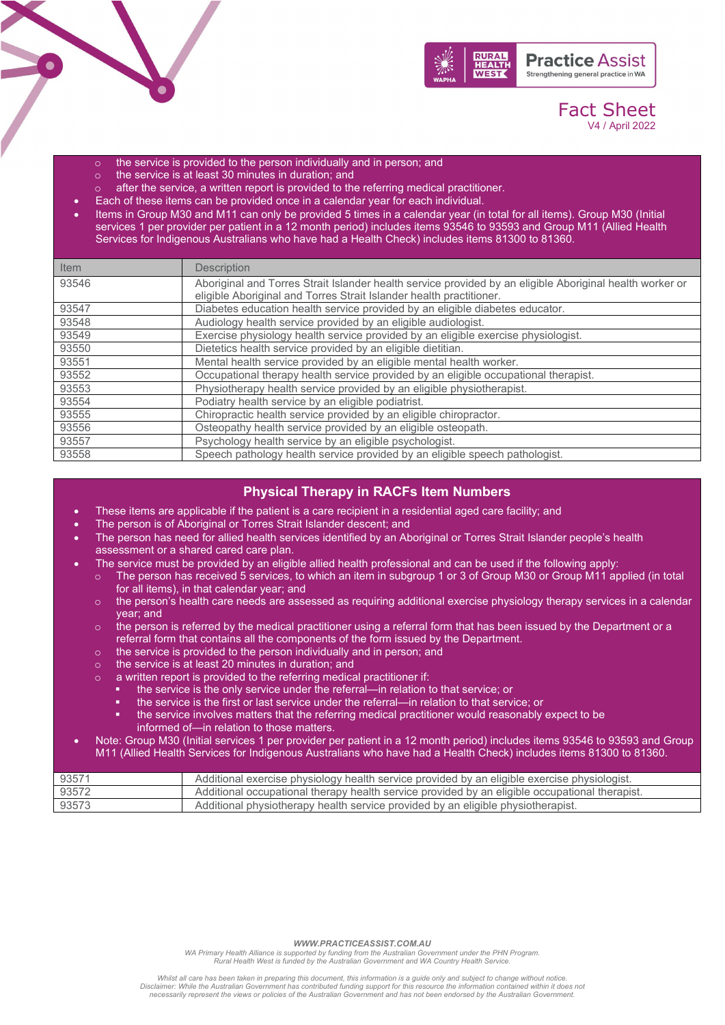

# Fact Sheet V4 / April 2022

- $\circ$  the service is provided to the person individually and in person; and  $\circ$  the service is at least 30 minutes in duration: and
- the service is at least 30 minutes in duration; and
- $\circ$  after the service, a written report is provided to the referring medical practitioner.
- Each of these items can be provided once in a calendar year for each individual.
- Items in Group M30 and M11 can only be provided 5 times in a calendar year (in total for all items). Group M30 (Initial services 1 per provider per patient in a 12 month period) includes items 93546 to 93593 and Group M11 (Allied Health Services for Indigenous Australians who have had a Health Check) includes items 81300 to 81360.

| <b>Item</b> | <b>Description</b>                                                                                       |
|-------------|----------------------------------------------------------------------------------------------------------|
| 93546       | Aboriginal and Torres Strait Islander health service provided by an eligible Aboriginal health worker or |
|             | eligible Aboriginal and Torres Strait Islander health practitioner.                                      |
| 93547       | Diabetes education health service provided by an eligible diabetes educator.                             |
| 93548       | Audiology health service provided by an eligible audiologist.                                            |
| 93549       | Exercise physiology health service provided by an eligible exercise physiologist.                        |
| 93550       | Dietetics health service provided by an eligible dietitian.                                              |
| 93551       | Mental health service provided by an eligible mental health worker.                                      |
| 93552       | Occupational therapy health service provided by an eligible occupational therapist.                      |
| 93553       | Physiotherapy health service provided by an eligible physiotherapist.                                    |
| 93554       | Podiatry health service by an eligible podiatrist.                                                       |
| 93555       | Chiropractic health service provided by an eligible chiropractor.                                        |
| 93556       | Osteopathy health service provided by an eligible osteopath.                                             |
| 93557       | Psychology health service by an eligible psychologist.                                                   |
| 93558       | Speech pathology health service provided by an eligible speech pathologist.                              |

## **Physical Therapy in RACFs Item Numbers**

- These items are applicable if the patient is a care recipient in a residential aged care facility; and
- The person is of Aboriginal or Torres Strait Islander descent; and
- The person has need for allied health services identified by an Aboriginal or Torres Strait Islander people's health assessment or a shared cared care plan.
- The service must be provided by an eligible allied health professional and can be used if the following apply:
	- $\circ$  The person has received 5 services, to which an item in subgroup 1 or 3 of Group M30 or Group M11 applied (in total for all items), in that calendar year; and
	- $\circ$  the person's health care needs are assessed as requiring additional exercise physiology therapy services in a calendar year; and
	- $\circ$  the person is referred by the medical practitioner using a referral form that has been issued by the Department or a referral form that contains all the components of the form issued by the Department.
	- $\circ$  the service is provided to the person individually and in person; and  $\circ$  the service is at least 20 minutes in duration: and
	- the service is at least  $20$  minutes in duration; and
	- o a written report is provided to the referring medical practitioner if:
		- the service is the only service under the referral—in relation to that service; or
		- the service is the first or last service under the referral—in relation to that service; or
		- the service involves matters that the referring medical practitioner would reasonably expect to be informed of—in relation to those matters.
- Note: Group M30 (Initial services 1 per provider per patient in a 12 month period) includes items 93546 to 93593 and Group M11 (Allied Health Services for Indigenous Australians who have had a Health Check) includes items 81300 to 81360.

| 93571 | Additional exercise physiology health service provided by an eligible exercise physiologist.   |
|-------|------------------------------------------------------------------------------------------------|
| 93572 | Additional occupational therapy health service provided by an eligible occupational therapist. |
| 93573 | Additional physiotherapy health service provided by an eligible physiotherapist.               |

#### *WWW.PRACTICEASSIST.COM.AU*

WA Primary Health Alliance is supported by funding from the Australian Government under the PHN Program.<br>Rural Health West is funded by the Australian Government and WA Country Health Service.